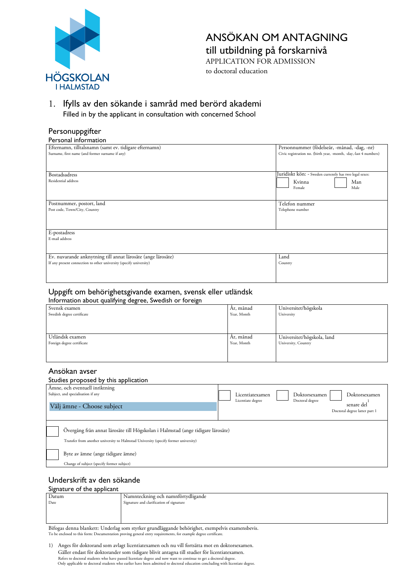

# ANSÖKAN OM ANTAGNING till utbildning på forskarnivå

APPLICATION FOR ADMISSION to doctoral education

1. Ifylls av den sökande i samråd med berörd akademi Filled in by the applicant in consultation with concerned School

## Personuppgifter

| Personnummer (födelseår, -månad, -dag, -nr)<br>Efternamn, tilltalsnamn (samt ev. tidigare efternamn) |                                                                   |  |
|------------------------------------------------------------------------------------------------------|-------------------------------------------------------------------|--|
| Surname, first name (and former surname if any)                                                      | Civic registration no. (birth year, -month, -day,-last 4 numbers) |  |
|                                                                                                      |                                                                   |  |
|                                                                                                      |                                                                   |  |
| <b>Bostadsadress</b>                                                                                 | Juridiskt kön: - Sweden currently has two legal sexes:            |  |
| Residential address                                                                                  | Kvinna<br>Man                                                     |  |
|                                                                                                      | Male<br>Female                                                    |  |
|                                                                                                      |                                                                   |  |
|                                                                                                      |                                                                   |  |
| Postnummer, postort, land                                                                            | Telefon nummer                                                    |  |
| Post code, Town/City, Country                                                                        | Telephone number                                                  |  |
|                                                                                                      |                                                                   |  |
|                                                                                                      |                                                                   |  |
| E-postadress                                                                                         |                                                                   |  |
| E-mail address                                                                                       |                                                                   |  |
|                                                                                                      |                                                                   |  |
|                                                                                                      |                                                                   |  |
| Ev. nuvarande anknytning till annat lärosäte (ange lärosäte)                                         | Land                                                              |  |
| If any present connection to other university (specify university)                                   | Country                                                           |  |
|                                                                                                      |                                                                   |  |
|                                                                                                      |                                                                   |  |

#### Uppgift om behörighetsgivande examen, svensk eller utländsk Information about qualifying degree, Swedish or foreign

| mormación about quam/mg acgrec, oweaismor for cign |             |                            |
|----------------------------------------------------|-------------|----------------------------|
| Svensk examen                                      | Ar, månad   | Universitet/högskola       |
| Swedish degree certificate                         | Year, Month | University                 |
|                                                    |             |                            |
|                                                    |             |                            |
|                                                    |             |                            |
| Utländsk examen                                    | Ar, månad   | Universitet/högskola, land |
| Foreign degree certificate                         | Year, Month | University, Country        |
|                                                    |             |                            |
|                                                    |             |                            |
|                                                    |             |                            |

### Ansökan avser

#### Studies proposed by this application

| stadios proposed by this application.                                                                                                                                  |                                                                                                                                          |
|------------------------------------------------------------------------------------------------------------------------------------------------------------------------|------------------------------------------------------------------------------------------------------------------------------------------|
| Ämne, och eventuell inriktning<br>Subject, and specialisation if any<br>Välj ämne - Choose subject                                                                     | Doktorsexamen<br>Doktorsexamen<br>Licentiatexamen<br>Doctoral degree<br>Licentiate degree<br>senare del<br>Doctoral degree latter part 1 |
| Övergång från annat lärosäte till Högskolan i Halmstad (ange tidigare lärosäte)<br>Transfer from another university to Halmstad University (specify former university) |                                                                                                                                          |
| Byte av ämne (ange tidigare ämne)                                                                                                                                      |                                                                                                                                          |
| Change of subject (specify former subject)                                                                                                                             |                                                                                                                                          |
|                                                                                                                                                                        |                                                                                                                                          |

## Underskrift av den sökande

#### Signature of the applicant

| $\sim$ $\sim$<br>_____ |                                          |
|------------------------|------------------------------------------|
| Datum                  | Namnteckning och namnförtydligande       |
| Date                   | Signature and clarification of signature |
|                        |                                          |
|                        |                                          |
|                        |                                          |

Bifogas denna blankett: Underlag som styrker grundläggande behörighet, exempelvis examensbevis. To be enclosed to this form: Documentation proving general entry requirements, for example degree certificate.

1) Anges för doktorand som avlagt licentiatexamen och nu vill fortsätta mot en doktorsexamen. Gäller endast för doktorander som tidigare blivit antagna till studier för licentiatexamen. Refers to doctoral students who have passed licentiate degree and now want to continue to get a doctoral degree. Only applicable to doctoral students who earlier have been admitted to doctoral education concluding with licentiate degree.